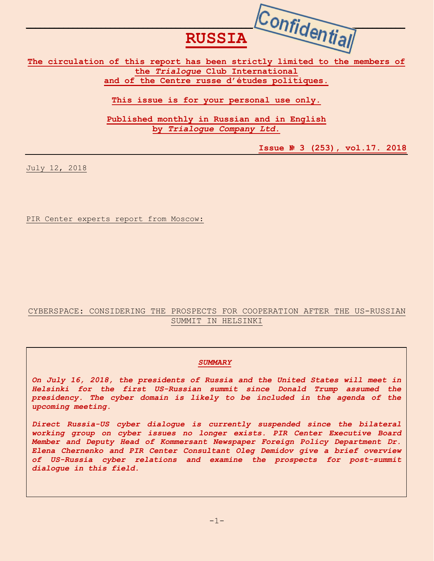**Confidential The circulation of this report has been strictly limited to the members of the** *Trialogue* **Club International** 

**RUSSIA**

**and of the Centre russe d'études politiques.**

**This issue is for your personal use only.**

**Published monthly in Russian and in English by** *Trialogue Company Ltd***.**

**Issue № 3 (253), vol.17. 2018**

July 12, 2018

PIR Center experts report from Moscow:

## CYBERSPACE: CONSIDERING THE PROSPECTS FOR COOPERATION AFTER THE US-RUSSIAN SUMMIT IN HELSINKI

### *SUMMARY*

*On July 16, 2018, the presidents of Russia and the United States will meet in Helsinki for the first US-Russian summit since Donald Trump assumed the presidency. The cyber domain is likely to be included in the agenda of the upcoming meeting.*

*Direct Russia-US cyber dialogue is currently suspended since the bilateral working group on cyber issues no longer exists. PIR Center Executive Board Member and Deputy Head of Kommersant Newspaper Foreign Policy Department Dr. Elena Chernenko and PIR Center Consultant Oleg Demidov give a brief overview of US-Russia cyber relations and examine the prospects for post-summit dialogue in this field.*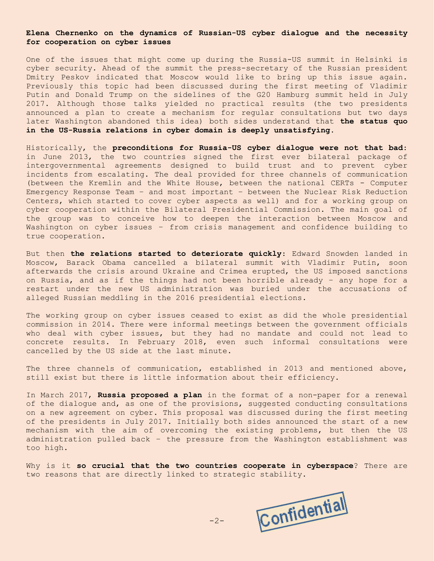#### **Elena Chernenko on the dynamics of Russian-US cyber dialogue and the necessity for cooperation on cyber issues**

One of the issues that might come up during the Russia-US summit in Helsinki is cyber security. Ahead of the summit the press-secretary of the Russian president Dmitry Peskov indicated that Moscow would like to bring up this issue again. Previously this topic had been discussed during the first meeting of Vladimir Putin and Donald Trump on the sidelines of the G20 Hamburg summit held in July 2017. Although those talks yielded no practical results (the two presidents announced a plan to create a mechanism for regular consultations but two days later Washington abandoned this idea) both sides understand that **the status quo in the US-Russia relations in cyber domain is deeply unsatisfying**.

Historically, the **preconditions for Russia-US cyber dialogue were not that bad**: in June 2013, the two countries signed the first ever bilateral package of intergovernmental agreements designed to build trust and to prevent cyber incidents from escalating. The deal provided for three channels of communication (between the Kremlin and the White House, between the national CERTs - Computer Emergency Response Team – and most important – between the Nuclear Risk Reduction Centers, which started to cover cyber aspects as well) and for a working group on cyber cooperation within the Bilateral Presidential Commission. The main goal of the group was to conceive how to deepen the interaction between Moscow and Washington on cyber issues – from crisis management and confidence building to true cooperation.

But then **the relations started to deteriorate quickly**: Edward Snowden landed in Moscow, Barack Obama cancelled a bilateral summit with Vladimir Putin, soon afterwards the crisis around Ukraine and Crimea erupted, the US imposed sanctions on Russia, and as if the things had not been horrible already – any hope for a restart under the new US administration was buried under the accusations of alleged Russian meddling in the 2016 presidential elections.

The working group on cyber issues ceased to exist as did the whole presidential commission in 2014. There were informal meetings between the government officials who deal with cyber issues, but they had no mandate and could not lead to concrete results. In February 2018, even such informal consultations were cancelled by the US side at the last minute.

The three channels of communication, established in 2013 and mentioned above, still exist but there is little information about their efficiency.

In March 2017, **Russia proposed a plan** in the format of a non-paper for a renewal of the dialogue and, as one of the provisions, suggested conducting consultations on a new agreement on cyber. This proposal was discussed during the first meeting of the presidents in July 2017. Initially both sides announced the start of a new mechanism with the aim of overcoming the existing problems, but then the US administration pulled back – the pressure from the Washington establishment was too high.

Why is it **so crucial that the two countries cooperate in cyberspace**? There are two reasons that are directly linked to strategic stability.

Confidential

-2-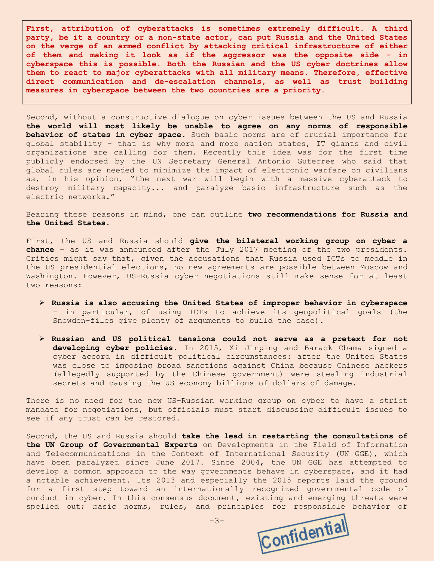**First, attribution of cyberattacks is sometimes extremely difficult. A third party, be it a country or a non-state actor, can put Russia and the United States on the verge of an armed conflict by attacking critical infrastructure of either of them and making it look as if the aggressor was the opposite side – in cyberspace this is possible. Both the Russian and the US cyber doctrines allow them to react to major cyberattacks with all military means. Therefore, effective direct communication and de-escalation channels, as well as trust building measures in cyberspace between the two countries are a priority.**

Second, without a constructive dialogue on cyber issues between the US and Russia **the world will most likely be unable to agree on any norms of responsible behavior of states in cyber space**. Such basic norms are of crucial importance for global stability – that is why more and more nation states, IT giants and civil organizations are calling for them. Recently this idea was for the first time publicly endorsed by the UN Secretary General Antonio Guterres who said that global rules are needed to minimize the impact of electronic warfare on civilians as, in his opinion, "the next war will begin with a massive cyberattack to destroy military capacity... and paralyze basic infrastructure such as the electric networks."

Bearing these reasons in mind, one can outline **two recommendations for Russia and the United States**.

First, the US and Russia should **give the bilateral working group on cyber a chance** – as it was announced after the July 2017 meeting of the two presidents. Critics might say that, given the accusations that Russia used ICTs to meddle in the US presidential elections, no new agreements are possible between Moscow and Washington. However, US-Russia cyber negotiations still make sense for at least two reasons:

- ➢ **Russia is also accusing the United States of improper behavior in cyberspace**  – in particular, of using ICTs to achieve its geopolitical goals (the Snowden-files give plenty of arguments to build the case).
- ➢ **Russian and US political tensions could not serve as a pretext for not developing cyber policies**. In 2015, Xi Jinping and Barack Obama signed a cyber accord in difficult political circumstances: after the United States was close to imposing broad sanctions against China because Chinese hackers (allegedly supported by the Chinese government) were stealing industrial secrets and causing the US economy billions of dollars of damage.

There is no need for the new US-Russian working group on cyber to have a strict mandate for negotiations, but officials must start discussing difficult issues to see if any trust can be restored.

Second, the US and Russia should **take the lead in restarting the consultations of the UN Group of Governmental Experts** on Developments in the Field of Information and Telecommunications in the Context of International Security (UN GGE), which have been paralyzed since June 2017. Since 2004, the UN GGE has attempted to develop a common approach to the way governments behave in cyberspace, and it had a notable achievement. Its 2013 and especially the 2015 reports laid the ground for a first step toward an internationally recognized governmental code of conduct in cyber. In this consensus document, existing and emerging threats were spelled out; basic norms, rules, and principles for responsible behavior of

-3-

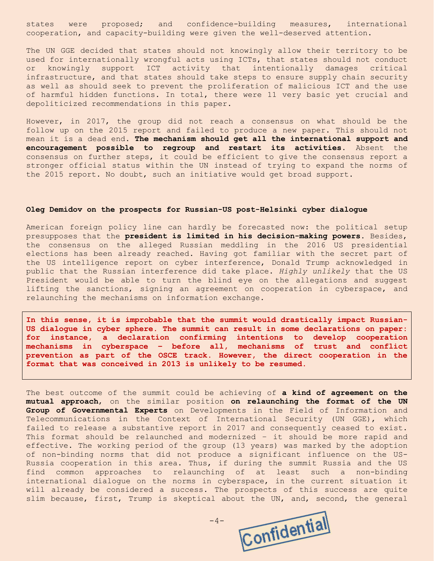states were proposed; and confidence-building measures, international cooperation, and capacity-building were given the well-deserved attention.

The UN GGE decided that states should not knowingly allow their territory to be used for internationally wrongful acts using ICTs, that states should not conduct or knowingly support ICT activity that intentionally damages critical infrastructure, and that states should take steps to ensure supply chain security as well as should seek to prevent the proliferation of malicious ICT and the use of harmful hidden functions. In total, there were 11 very basic yet crucial and depoliticized recommendations in this paper.

However, in 2017, the group did not reach a consensus on what should be the follow up on the 2015 report and failed to produce a new paper. This should not mean it is a dead end. **The mechanism should get all the international support and encouragement possible to regroup and restart its activities**. Absent the consensus on further steps, it could be efficient to give the consensus report a stronger official status within the UN instead of trying to expand the norms of the 2015 report. No doubt, such an initiative would get broad support.

#### **Oleg Demidov on the prospects for Russian-US post-Helsinki cyber dialogue**

American foreign policy line can hardly be forecasted now: the political setup presupposes that the **president is limited in his decision-making powers**. Besides, the consensus on the alleged Russian meddling in the 2016 US presidential elections has been already reached. Having got familiar with the secret part of the US intelligence report on cyber interference, Donald Trump acknowledged in public that the Russian interference did take place. *Highly unlikely* that the US President would be able to turn the blind eye on the allegations and suggest lifting the sanctions, signing an agreement on cooperation in cyberspace, and relaunching the mechanisms on information exchange.

**In this sense, it is improbable that the summit would drastically impact Russian-US dialogue in cyber sphere. The summit can result in some declarations on paper: for instance, a declaration confirming intentions to develop cooperation mechanisms in cyberspace – before all, mechanisms of trust and conflict prevention as part of the OSCE track. However, the direct cooperation in the format that was conceived in 2013 is unlikely to be resumed.**

The best outcome of the summit could be achieving of **a kind of agreement on the mutual approach**, on the similar position **on relaunching the format of the UN Group of Governmental Experts** on Developments in the Field of Information and Telecommunications in the Context of International Security (UN GGE), which failed to release a substantive report in 2017 and consequently ceased to exist. This format should be relaunched and modernized – it should be more rapid and effective. The working period of the group (13 years) was marked by the adoption of non-binding norms that did not produce a significant influence on the US-Russia cooperation in this area. Thus, if during the summit Russia and the US find common approaches to relaunching of at least such a non-binding international dialogue on the norms in cyberspace, in the current situation it will already be considered a success. The prospects of this success are quite slim because, first, Trump is skeptical about the UN, and, second, the general

Confidential

 $-4-$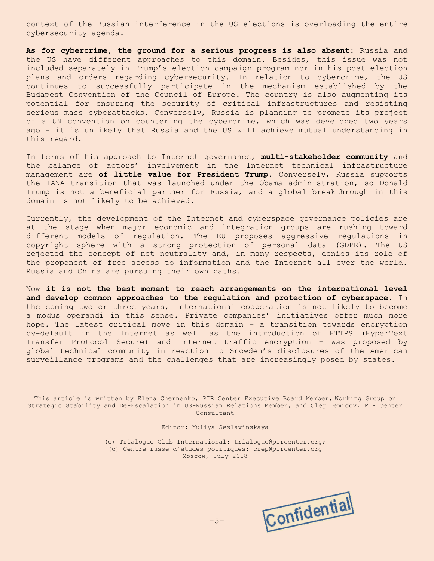context of the Russian interference in the US elections is overloading the entire cybersecurity agenda.

**As for cybercrime, the ground for a serious progress is also absent**: Russia and the US have different approaches to this domain. Besides, this issue was not included separately in Trump's election campaign program nor in his post-election plans and orders regarding cybersecurity. In relation to cybercrime, the US continues to successfully participate in the mechanism established by the Budapest Convention of the Council of Europe. The country is also augmenting its potential for ensuring the security of critical infrastructures and resisting serious mass cyberattacks. Conversely, Russia is planning to promote its project of a UN convention on countering the cybercrime, which was developed two years ago – it is unlikely that Russia and the US will achieve mutual understanding in this regard.

In terms of his approach to Internet governance, **multi-stakeholder community** and the balance of actors' involvement in the Internet technical infrastructure management are **of little value for President Trump**. Conversely, Russia supports the IANA transition that was launched under the Obama administration, so Donald Trump is not a beneficial partner for Russia, and a global breakthrough in this domain is not likely to be achieved.

Currently, the development of the Internet and cyberspace governance policies are at the stage when major economic and integration groups are rushing toward different models of regulation. The EU proposes aggressive regulations in copyright sphere with a strong protection of personal data (GDPR). The US rejected the concept of net neutrality and, in many respects, denies its role of the proponent of free access to information and the Internet all over the world. Russia and China are pursuing their own paths.

Now **it is not the best moment to reach arrangements on the international level and develop common approaches to the regulation and protection of cyberspace**. In the coming two or three years, international cooperation is not likely to become a modus operandi in this sense. Private companies' initiatives offer much more hope. The latest critical move in this domain – a transition towards encryption by-default in the Internet as well as the introduction of HTTPS (HyperText Transfer Protocol Secure) and Internet traffic encryption – was proposed by global technical community in reaction to Snowden's disclosures of the American surveillance programs and the challenges that are increasingly posed by states.

This article is written by Elena Chernenko, PIR Center Executive Board Member, Working Group on Strategic Stability and De-Escalation in US-Russian Relations Member, and Oleg Demidov, PIR Center Consultant

Editor: Yuliya Seslavinskaya

(с) Trialogue Club International: trialogue@pircenter.org; (с) Сentre russe d'etudes politiques: crep@pircenter.org Moscow, July 2018

Confidential

-5-